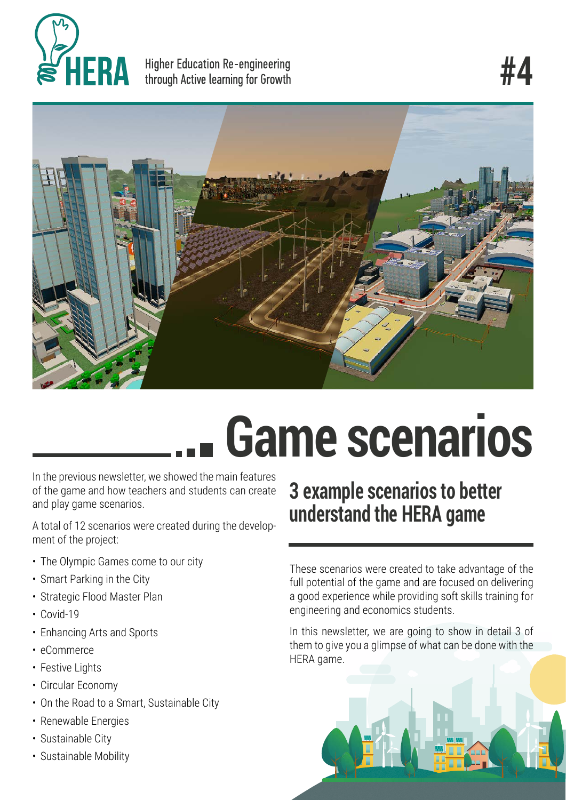

Higher Education Re-engineering through Active learning for Growth



# **Game scenarios**

In the previous newsletter, we showed the main features of the game and how teachers and students can create and play game scenarios.

A total of 12 scenarios were created during the development of the project:

- The Olympic Games come to our city
- Smart Parking in the City
- Strategic Flood Master Plan
- Covid-19
- Enhancing Arts and Sports
- eCommerce
- Festive Lights
- Circular Economy
- On the Road to a Smart, Sustainable City
- Renewable Energies
- Sustainable City
- Sustainable Mobility

### **3 example scenarios to better understand the HERA game**

These scenarios were created to take advantage of the full potential of the game and are focused on delivering a good experience while providing soft skills training for engineering and economics students.

In this newsletter, we are going to show in detail 3 of them to give you a glimpse of what can be done with the HERA game.

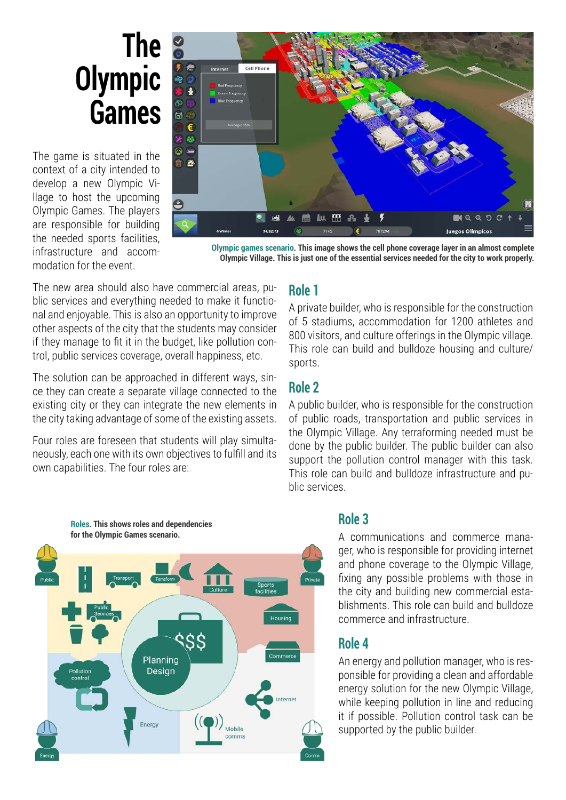### **The Olympic Games**

The game is situated in the context of a city intended to develop a new Olympic Village to host the upcoming Olympic Games. The players are responsible for building the needed sports facilities, infrastructure and accommodation for the event.



**Olympic games scenario. This image shows the cell phone coverage layer in an almost complete Olympic Village. This is just one of the essential services needed for the city to work properly.**

The new area should also have commercial areas, public services and everything needed to make it functional and enjoyable. This is also an opportunity to improve other aspects of the city that the students may consider if they manage to fit it in the budget, like pollution control, public services coverage, overall happiness, etc.

The solution can be approached in different ways, since they can create a separate village connected to the existing city or they can integrate the new elements in the city taking advantage of some of the existing assets.

Four roles are foreseen that students will play simultaneously, each one with its own objectives to fulfill and its own capabilities. The four roles are:

#### **Role 1**

A private builder, who is responsible for the construction of 5 stadiums, accommodation for 1200 athletes and 800 visitors, and culture offerings in the Olympic village. This role can build and bulldoze housing and culture/ sports.

#### **Role 2**

A public builder, who is responsible for the construction of public roads, transportation and public services in the Olympic Village. Any terraforming needed must be done by the public builder. The public builder can also support the pollution control manager with this task. This role can build and bulldoze infrastructure and public services.



#### **Role 3**

A communications and commerce manager, who is responsible for providing internet and phone coverage to the Olympic Village, fixing any possible problems with those in the city and building new commercial establishments. This role can build and bulldoze commerce and infrastructure.

#### **Role 4**

An energy and pollution manager, who is responsible for providing a clean and affordable energy solution for the new Olympic Village, while keeping pollution in line and reducing it if possible. Pollution control task can be supported by the public builder.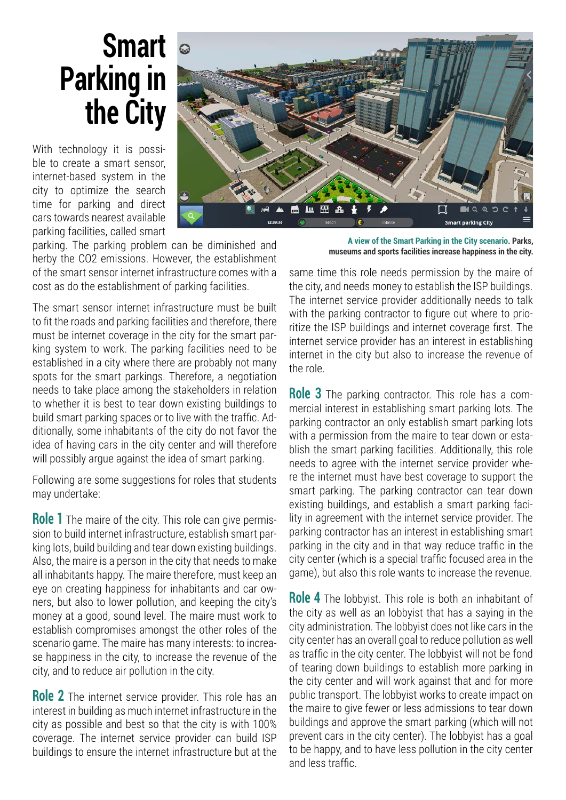# **Smart Parking in the City**

With technology it is possible to create a smart sensor, internet-based system in the city to optimize the search time for parking and direct cars towards nearest available parking facilities, called smart

parking. The parking problem can be diminished and herby the CO2 emissions. However, the establishment of the smart sensor internet infrastructure comes with a cost as do the establishment of parking facilities.

The smart sensor internet infrastructure must be built to fit the roads and parking facilities and therefore, there must be internet coverage in the city for the smart parking system to work. The parking facilities need to be established in a city where there are probably not many spots for the smart parkings. Therefore, a negotiation needs to take place among the stakeholders in relation to whether it is best to tear down existing buildings to build smart parking spaces or to live with the traffic. Additionally, some inhabitants of the city do not favor the idea of having cars in the city center and will therefore will possibly argue against the idea of smart parking.

Following are some suggestions for roles that students may undertake:

**Role 1** The maire of the city. This role can give permission to build internet infrastructure, establish smart parking lots, build building and tear down existing buildings. Also, the maire is a person in the city that needs to make all inhabitants happy. The maire therefore, must keep an eye on creating happiness for inhabitants and car owners, but also to lower pollution, and keeping the city's money at a good, sound level. The maire must work to establish compromises amongst the other roles of the scenario game. The maire has many interests: to increase happiness in the city, to increase the revenue of the city, and to reduce air pollution in the city.

**Role 2** The internet service provider. This role has an interest in building as much internet infrastructure in the city as possible and best so that the city is with 100% coverage. The internet service provider can build ISP buildings to ensure the internet infrastructure but at the

**A view of the Smart Parking in the City scenario. Parks, museums and sports facilities increase happiness in the city.**

same time this role needs permission by the maire of the city, and needs money to establish the ISP buildings. The internet service provider additionally needs to talk with the parking contractor to figure out where to prioritize the ISP buildings and internet coverage first. The internet service provider has an interest in establishing internet in the city but also to increase the revenue of the role.

**Role 3** The parking contractor. This role has a commercial interest in establishing smart parking lots. The parking contractor an only establish smart parking lots with a permission from the maire to tear down or establish the smart parking facilities. Additionally, this role needs to agree with the internet service provider where the internet must have best coverage to support the smart parking. The parking contractor can tear down existing buildings, and establish a smart parking facility in agreement with the internet service provider. The parking contractor has an interest in establishing smart parking in the city and in that way reduce traffic in the city center (which is a special traffic focused area in the game), but also this role wants to increase the revenue.

**Role 4** The lobbyist. This role is both an inhabitant of the city as well as an lobbyist that has a saying in the city administration. The lobbyist does not like cars in the city center has an overall goal to reduce pollution as well as traffic in the city center. The lobbyist will not be fond of tearing down buildings to establish more parking in the city center and will work against that and for more public transport. The lobbyist works to create impact on the maire to give fewer or less admissions to tear down buildings and approve the smart parking (which will not prevent cars in the city center). The lobbyist has a goal to be happy, and to have less pollution in the city center and less traffic.